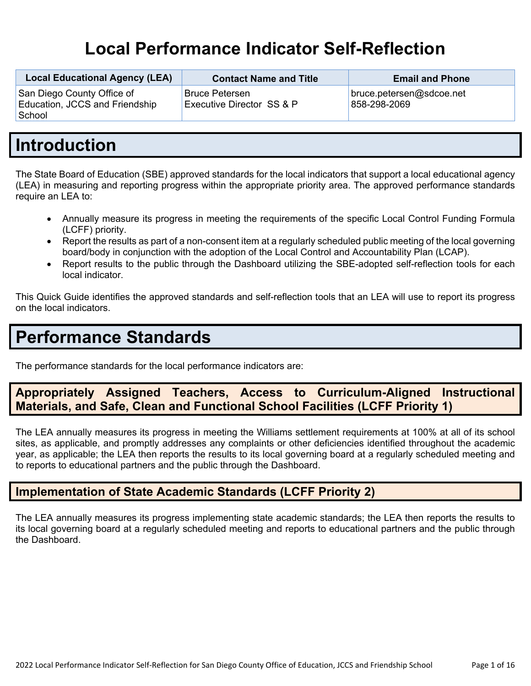# **Local Performance Indicator Self-Reflection**

| <b>Local Educational Agency (LEA)</b>                                  | <b>Contact Name and Title</b>                      | <b>Email and Phone</b>                   |
|------------------------------------------------------------------------|----------------------------------------------------|------------------------------------------|
| San Diego County Office of<br>Education, JCCS and Friendship<br>School | <b>Bruce Petersen</b><br>Executive Director SS & P | bruce.petersen@sdcoe.net<br>858-298-2069 |

# **Introduction**

The State Board of Education (SBE) approved standards for the local indicators that support a local educational agency (LEA) in measuring and reporting progress within the appropriate priority area. The approved performance standards require an LEA to:

- Annually measure its progress in meeting the requirements of the specific Local Control Funding Formula (LCFF) priority.
- Report the results as part of a non-consent item at a regularly scheduled public meeting of the local governing board/body in conjunction with the adoption of the Local Control and Accountability Plan (LCAP).
- Report results to the public through the Dashboard utilizing the SBE-adopted self-reflection tools for each local indicator.

This Quick Guide identifies the approved standards and self-reflection tools that an LEA will use to report its progress on the local indicators.

# **Performance Standards**

The performance standards for the local performance indicators are:

# **Appropriately Assigned Teachers, Access to Curriculum-Aligned Instructional Materials, and Safe, Clean and Functional School Facilities (LCFF Priority 1)**

The LEA annually measures its progress in meeting the Williams settlement requirements at 100% at all of its school sites, as applicable, and promptly addresses any complaints or other deficiencies identified throughout the academic year, as applicable; the LEA then reports the results to its local governing board at a regularly scheduled meeting and to reports to educational partners and the public through the Dashboard.

# **Implementation of State Academic Standards (LCFF Priority 2)**

The LEA annually measures its progress implementing state academic standards; the LEA then reports the results to its local governing board at a regularly scheduled meeting and reports to educational partners and the public through the Dashboard.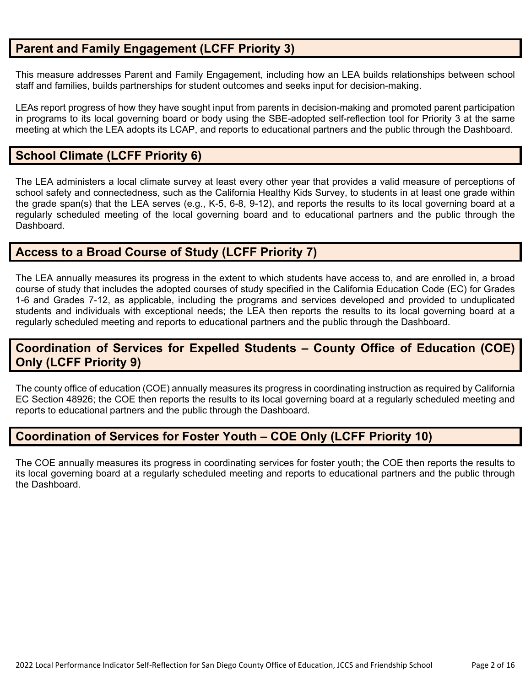# **Parent and Family Engagement (LCFF Priority 3)**

This measure addresses Parent and Family Engagement, including how an LEA builds relationships between school staff and families, builds partnerships for student outcomes and seeks input for decision-making.

LEAs report progress of how they have sought input from parents in decision-making and promoted parent participation in programs to its local governing board or body using the SBE-adopted self-reflection tool for Priority 3 at the same meeting at which the LEA adopts its LCAP, and reports to educational partners and the public through the Dashboard.

# **School Climate (LCFF Priority 6)**

The LEA administers a local climate survey at least every other year that provides a valid measure of perceptions of school safety and connectedness, such as the California Healthy Kids Survey, to students in at least one grade within the grade span(s) that the LEA serves (e.g., K-5, 6-8, 9-12), and reports the results to its local governing board at a regularly scheduled meeting of the local governing board and to educational partners and the public through the Dashboard.

# **Access to a Broad Course of Study (LCFF Priority 7)**

The LEA annually measures its progress in the extent to which students have access to, and are enrolled in, a broad course of study that includes the adopted courses of study specified in the California Education Code (EC) for Grades 1-6 and Grades 7-12, as applicable, including the programs and services developed and provided to unduplicated students and individuals with exceptional needs; the LEA then reports the results to its local governing board at a regularly scheduled meeting and reports to educational partners and the public through the Dashboard.

# **Coordination of Services for Expelled Students – County Office of Education (COE) Only (LCFF Priority 9)**

The county office of education (COE) annually measures its progress in coordinating instruction as required by California EC Section 48926; the COE then reports the results to its local governing board at a regularly scheduled meeting and reports to educational partners and the public through the Dashboard.

# **Coordination of Services for Foster Youth – COE Only (LCFF Priority 10)**

The COE annually measures its progress in coordinating services for foster youth; the COE then reports the results to its local governing board at a regularly scheduled meeting and reports to educational partners and the public through the Dashboard.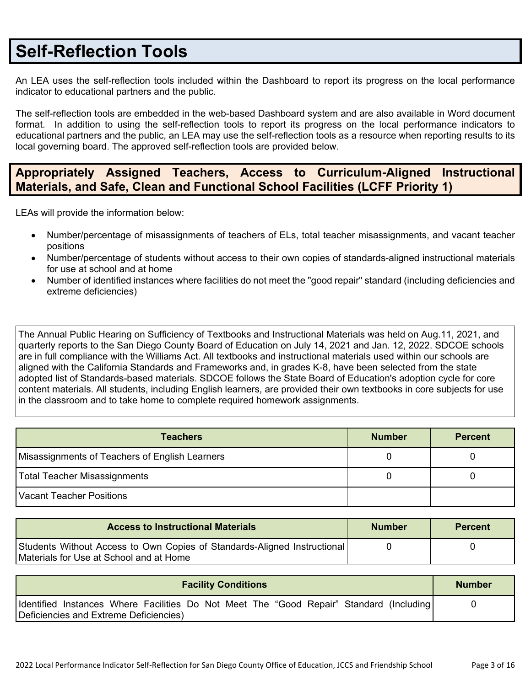# **Self-Reflection Tools**

An LEA uses the self-reflection tools included within the Dashboard to report its progress on the local performance indicator to educational partners and the public.

The self-reflection tools are embedded in the web-based Dashboard system and are also available in Word document format. In addition to using the self-reflection tools to report its progress on the local performance indicators to educational partners and the public, an LEA may use the self-reflection tools as a resource when reporting results to its local governing board. The approved self-reflection tools are provided below.

# **Appropriately Assigned Teachers, Access to Curriculum-Aligned Instructional Materials, and Safe, Clean and Functional School Facilities (LCFF Priority 1)**

LEAs will provide the information below:

- Number/percentage of misassignments of teachers of ELs, total teacher misassignments, and vacant teacher positions
- Number/percentage of students without access to their own copies of standards-aligned instructional materials for use at school and at home
- Number of identified instances where facilities do not meet the "good repair" standard (including deficiencies and extreme deficiencies)

The Annual Public Hearing on Sufficiency of Textbooks and Instructional Materials was held on Aug.11, 2021, and quarterly reports to the San Diego County Board of Education on July 14, 2021 and Jan. 12, 2022. SDCOE schools are in full compliance with the Williams Act. All textbooks and instructional materials used within our schools are aligned with the California Standards and Frameworks and, in grades K-8, have been selected from the state adopted list of Standards-based materials. SDCOE follows the State Board of Education's adoption cycle for core content materials. All students, including English learners, are provided their own textbooks in core subjects for use in the classroom and to take home to complete required homework assignments.

| <b>Teachers</b>                                | <b>Number</b> | <b>Percent</b> |
|------------------------------------------------|---------------|----------------|
| Misassignments of Teachers of English Learners |               |                |
| Total Teacher Misassignments                   |               |                |
| Vacant Teacher Positions                       |               |                |

| <b>Access to Instructional Materials</b>                                                                            | <b>Number</b> | <b>Percent</b> |
|---------------------------------------------------------------------------------------------------------------------|---------------|----------------|
| Students Without Access to Own Copies of Standards-Aligned Instructional<br>Materials for Use at School and at Home |               |                |

| <b>Facility Conditions</b>                                                               | <b>Number</b> |
|------------------------------------------------------------------------------------------|---------------|
| Identified Instances Where Facilities Do Not Meet The "Good Repair" Standard (Including) |               |
| Deficiencies and Extreme Deficiencies)                                                   |               |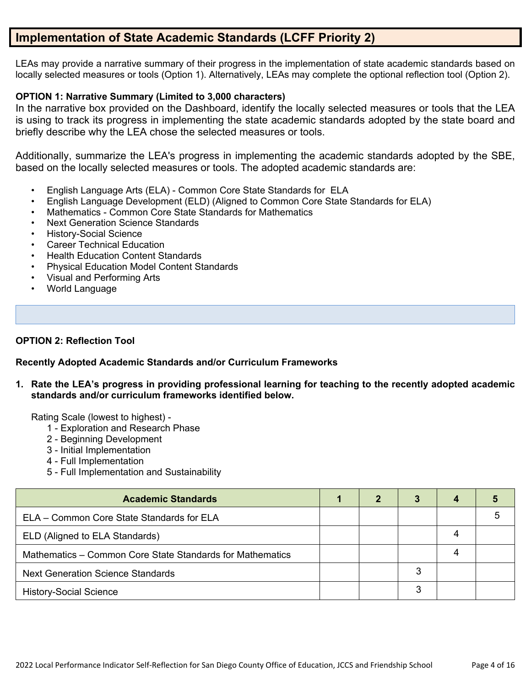# **Implementation of State Academic Standards (LCFF Priority 2)**

LEAs may provide a narrative summary of their progress in the implementation of state academic standards based on locally selected measures or tools (Option 1). Alternatively, LEAs may complete the optional reflection tool (Option 2).

### **OPTION 1: Narrative Summary (Limited to 3,000 characters)**

In the narrative box provided on the Dashboard, identify the locally selected measures or tools that the LEA is using to track its progress in implementing the state academic standards adopted by the state board and briefly describe why the LEA chose the selected measures or tools.

Additionally, summarize the LEA's progress in implementing the academic standards adopted by the SBE, based on the locally selected measures or tools. The adopted academic standards are:

- English Language Arts (ELA) Common Core State Standards for ELA
- English Language Development (ELD) (Aligned to Common Core State Standards for ELA)
- Mathematics Common Core State Standards for Mathematics
- Next Generation Science Standards
- History-Social Science
- Career Technical Education
- Health Education Content Standards
- Physical Education Model Content Standards
- Visual and Performing Arts
- World Language

### **OPTION 2: Reflection Tool**

### **Recently Adopted Academic Standards and/or Curriculum Frameworks**

**1. Rate the LEA's progress in providing professional learning for teaching to the recently adopted academic standards and/or curriculum frameworks identified below.**

- 1 Exploration and Research Phase
- 2 Beginning Development
- 3 Initial Implementation
- 4 Full Implementation
- 5 Full Implementation and Sustainability

| <b>Academic Standards</b>                                 |  | 3 |  |
|-----------------------------------------------------------|--|---|--|
| ELA - Common Core State Standards for ELA                 |  |   |  |
| ELD (Aligned to ELA Standards)                            |  |   |  |
| Mathematics - Common Core State Standards for Mathematics |  |   |  |
| <b>Next Generation Science Standards</b>                  |  |   |  |
| <b>History-Social Science</b>                             |  | 3 |  |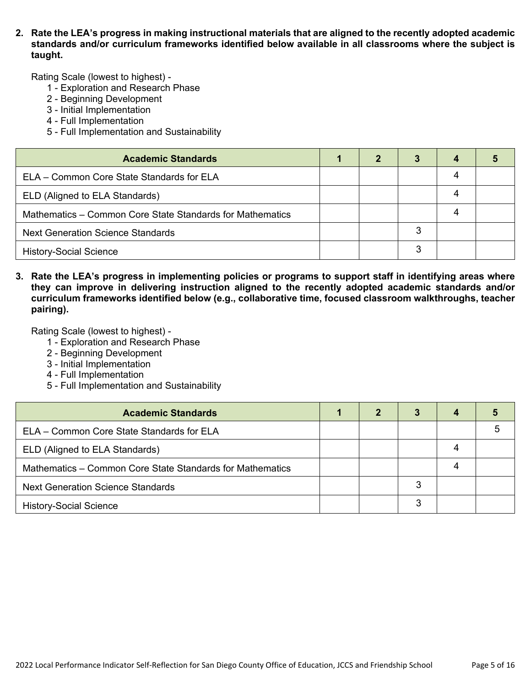**2. Rate the LEA's progress in making instructional materials that are aligned to the recently adopted academic standards and/or curriculum frameworks identified below available in all classrooms where the subject is taught.**

Rating Scale (lowest to highest) -

- 1 Exploration and Research Phase
- 2 Beginning Development
- 3 Initial Implementation
- 4 Full Implementation
- 5 Full Implementation and Sustainability

| <b>Academic Standards</b>                                 |  |   |  |
|-----------------------------------------------------------|--|---|--|
| ELA - Common Core State Standards for ELA                 |  |   |  |
| ELD (Aligned to ELA Standards)                            |  |   |  |
| Mathematics - Common Core State Standards for Mathematics |  |   |  |
| <b>Next Generation Science Standards</b>                  |  | 3 |  |
| <b>History-Social Science</b>                             |  | ຊ |  |

**3. Rate the LEA's progress in implementing policies or programs to support staff in identifying areas where they can improve in delivering instruction aligned to the recently adopted academic standards and/or curriculum frameworks identified below (e.g., collaborative time, focused classroom walkthroughs, teacher pairing).**

- 1 Exploration and Research Phase
- 2 Beginning Development
- 3 Initial Implementation
- 4 Full Implementation
- 5 Full Implementation and Sustainability

| <b>Academic Standards</b>                                 | 2 |   |  |
|-----------------------------------------------------------|---|---|--|
| ELA – Common Core State Standards for ELA                 |   |   |  |
| ELD (Aligned to ELA Standards)                            |   |   |  |
| Mathematics – Common Core State Standards for Mathematics |   |   |  |
| <b>Next Generation Science Standards</b>                  |   | 3 |  |
| <b>History-Social Science</b>                             |   | 3 |  |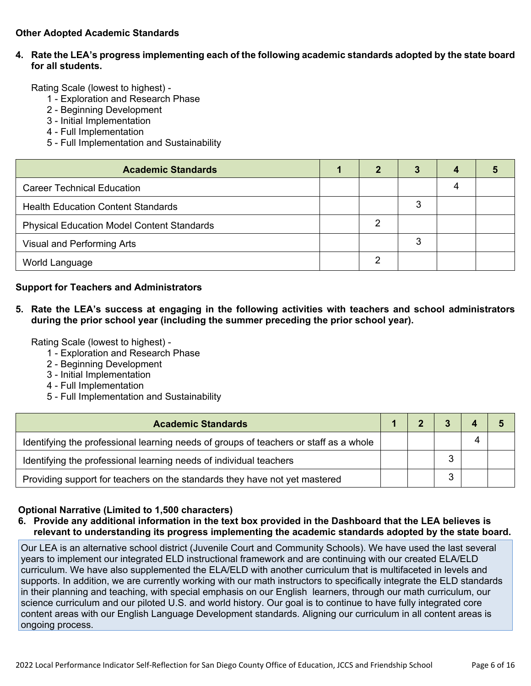### **Other Adopted Academic Standards**

### **4. Rate the LEA's progress implementing each of the following academic standards adopted by the state board for all students.**

Rating Scale (lowest to highest) -

- 1 Exploration and Research Phase
- 2 Beginning Development
- 3 Initial Implementation
- 4 Full Implementation
- 5 Full Implementation and Sustainability

| <b>Academic Standards</b>                         | 2 | 3 |  |
|---------------------------------------------------|---|---|--|
| <b>Career Technical Education</b>                 |   |   |  |
| <b>Health Education Content Standards</b>         |   | 3 |  |
| <b>Physical Education Model Content Standards</b> | ົ |   |  |
| Visual and Performing Arts                        |   | 3 |  |
| World Language                                    | റ |   |  |

#### **Support for Teachers and Administrators**

**5. Rate the LEA's success at engaging in the following activities with teachers and school administrators during the prior school year (including the summer preceding the prior school year).**

Rating Scale (lowest to highest) -

- 1 Exploration and Research Phase
- 2 Beginning Development
- 3 Initial Implementation
- 4 Full Implementation
- 5 Full Implementation and Sustainability

| <b>Academic Standards</b>                                                             |  |  |  |
|---------------------------------------------------------------------------------------|--|--|--|
| Identifying the professional learning needs of groups of teachers or staff as a whole |  |  |  |
| Identifying the professional learning needs of individual teachers                    |  |  |  |
| Providing support for teachers on the standards they have not yet mastered            |  |  |  |

#### **Optional Narrative (Limited to 1,500 characters)**

**6. Provide any additional information in the text box provided in the Dashboard that the LEA believes is relevant to understanding its progress implementing the academic standards adopted by the state board.**

Our LEA is an alternative school district (Juvenile Court and Community Schools). We have used the last several years to implement our integrated ELD instructional framework and are continuing with our created ELA/ELD curriculum. We have also supplemented the ELA/ELD with another curriculum that is multifaceted in levels and supports. In addition, we are currently working with our math instructors to specifically integrate the ELD standards in their planning and teaching, with special emphasis on our English learners, through our math curriculum, our science curriculum and our piloted U.S. and world history. Our goal is to continue to have fully integrated core content areas with our English Language Development standards. Aligning our curriculum in all content areas is ongoing process.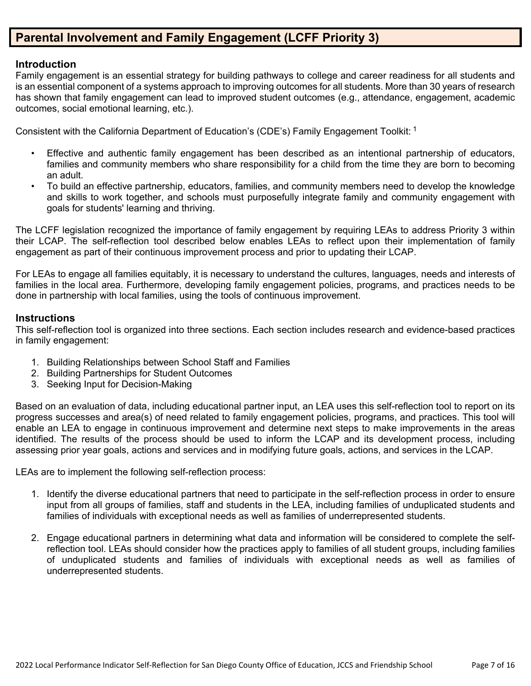# **Parental Involvement and Family Engagement (LCFF Priority 3)**

### **Introduction**

Family engagement is an essential strategy for building pathways to college and career readiness for all students and is an essential component of a systems approach to improving outcomes for all students. More than 30 years of research has shown that family engagement can lead to improved student outcomes (e.g., attendance, engagement, academic outcomes, social emotional learning, etc.).

Consistent with the California Department of Education's (CDE's) Family Engagement Toolkit: <sup>1</sup>

- Effective and authentic family engagement has been described as an intentional partnership of educators, families and community members who share responsibility for a child from the time they are born to becoming an adult.
- To build an effective partnership, educators, families, and community members need to develop the knowledge and skills to work together, and schools must purposefully integrate family and community engagement with goals for students' learning and thriving.

The LCFF legislation recognized the importance of family engagement by requiring LEAs to address Priority 3 within their LCAP. The self-reflection tool described below enables LEAs to reflect upon their implementation of family engagement as part of their continuous improvement process and prior to updating their LCAP.

For LEAs to engage all families equitably, it is necessary to understand the cultures, languages, needs and interests of families in the local area. Furthermore, developing family engagement policies, programs, and practices needs to be done in partnership with local families, using the tools of continuous improvement.

### **Instructions**

This self-reflection tool is organized into three sections. Each section includes research and evidence-based practices in family engagement:

- 1. Building Relationships between School Staff and Families
- 2. Building Partnerships for Student Outcomes
- 3. Seeking Input for Decision-Making

Based on an evaluation of data, including educational partner input, an LEA uses this self-reflection tool to report on its progress successes and area(s) of need related to family engagement policies, programs, and practices. This tool will enable an LEA to engage in continuous improvement and determine next steps to make improvements in the areas identified. The results of the process should be used to inform the LCAP and its development process, including assessing prior year goals, actions and services and in modifying future goals, actions, and services in the LCAP.

LEAs are to implement the following self-reflection process:

- 1. Identify the diverse educational partners that need to participate in the self-reflection process in order to ensure input from all groups of families, staff and students in the LEA, including families of unduplicated students and families of individuals with exceptional needs as well as families of underrepresented students.
- 2. Engage educational partners in determining what data and information will be considered to complete the selfreflection tool. LEAs should consider how the practices apply to families of all student groups, including families of unduplicated students and families of individuals with exceptional needs as well as families of underrepresented students.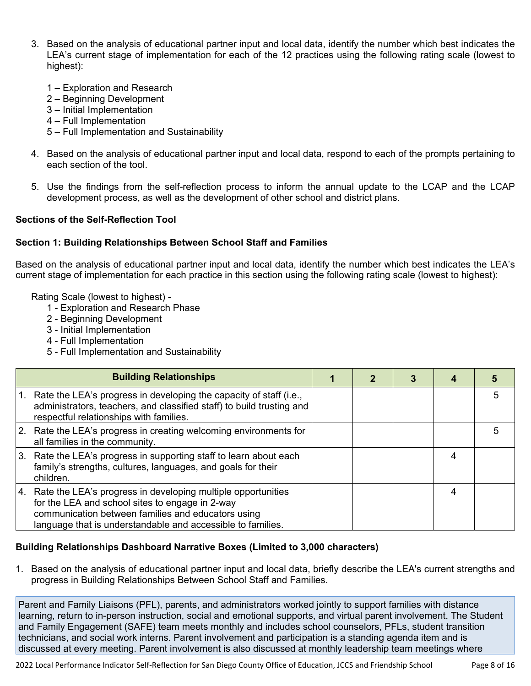- 3. Based on the analysis of educational partner input and local data, identify the number which best indicates the LEA's current stage of implementation for each of the 12 practices using the following rating scale (lowest to highest):
	- 1 Exploration and Research
	- 2 Beginning Development
	- 3 Initial Implementation
	- 4 Full Implementation
	- 5 Full Implementation and Sustainability
- 4. Based on the analysis of educational partner input and local data, respond to each of the prompts pertaining to each section of the tool.
- 5. Use the findings from the self-reflection process to inform the annual update to the LCAP and the LCAP development process, as well as the development of other school and district plans.

### **Sections of the Self-Reflection Tool**

### **Section 1: Building Relationships Between School Staff and Families**

Based on the analysis of educational partner input and local data, identify the number which best indicates the LEA's current stage of implementation for each practice in this section using the following rating scale (lowest to highest):

Rating Scale (lowest to highest) -

- 1 Exploration and Research Phase
- 2 Beginning Development
- 3 Initial Implementation
- 4 Full Implementation
- 5 Full Implementation and Sustainability

|    | <b>Building Relationships</b>                                                                                                                                                                                                           |  |  |  |
|----|-----------------------------------------------------------------------------------------------------------------------------------------------------------------------------------------------------------------------------------------|--|--|--|
|    | Rate the LEA's progress in developing the capacity of staff (i.e.,<br>administrators, teachers, and classified staff) to build trusting and<br>respectful relationships with families.                                                  |  |  |  |
|    | 2. Rate the LEA's progress in creating welcoming environments for<br>all families in the community.                                                                                                                                     |  |  |  |
| 3. | Rate the LEA's progress in supporting staff to learn about each<br>family's strengths, cultures, languages, and goals for their<br>children.                                                                                            |  |  |  |
|    | 4. Rate the LEA's progress in developing multiple opportunities<br>for the LEA and school sites to engage in 2-way<br>communication between families and educators using<br>language that is understandable and accessible to families. |  |  |  |

## **Building Relationships Dashboard Narrative Boxes (Limited to 3,000 characters)**

1. Based on the analysis of educational partner input and local data, briefly describe the LEA's current strengths and progress in Building Relationships Between School Staff and Families.

Parent and Family Liaisons (PFL), parents, and administrators worked jointly to support families with distance learning, return to in-person instruction, social and emotional supports, and virtual parent involvement. The Student and Family Engagement (SAFE) team meets monthly and includes school counselors, PFLs, student transition technicians, and social work interns. Parent involvement and participation is a standing agenda item and is discussed at every meeting. Parent involvement is also discussed at monthly leadership team meetings where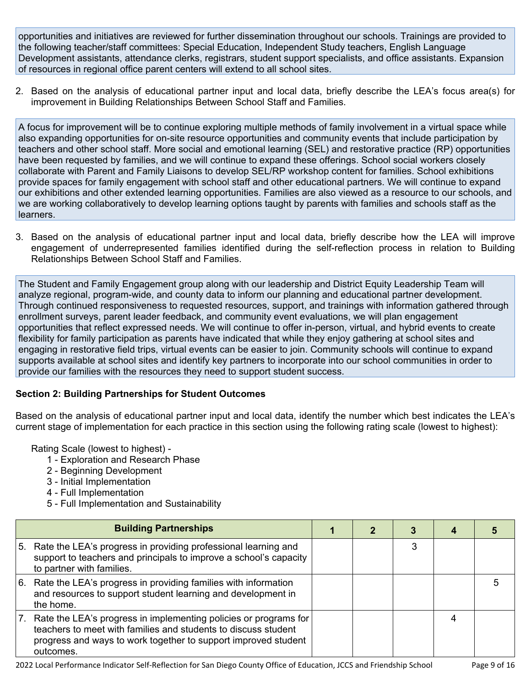opportunities and initiatives are reviewed for further dissemination throughout our schools. Trainings are provided to the following teacher/staff committees: Special Education, Independent Study teachers, English Language Development assistants, attendance clerks, registrars, student support specialists, and office assistants. Expansion of resources in regional office parent centers will extend to all school sites.

2. Based on the analysis of educational partner input and local data, briefly describe the LEA's focus area(s) for improvement in Building Relationships Between School Staff and Families.

A focus for improvement will be to continue exploring multiple methods of family involvement in a virtual space while also expanding opportunities for on-site resource opportunities and community events that include participation by teachers and other school staff. More social and emotional learning (SEL) and restorative practice (RP) opportunities have been requested by families, and we will continue to expand these offerings. School social workers closely collaborate with Parent and Family Liaisons to develop SEL/RP workshop content for families. School exhibitions provide spaces for family engagement with school staff and other educational partners. We will continue to expand our exhibitions and other extended learning opportunities. Families are also viewed as a resource to our schools, and we are working collaboratively to develop learning options taught by parents with families and schools staff as the learners.

3. Based on the analysis of educational partner input and local data, briefly describe how the LEA will improve engagement of underrepresented families identified during the self-reflection process in relation to Building Relationships Between School Staff and Families.

The Student and Family Engagement group along with our leadership and District Equity Leadership Team will analyze regional, program-wide, and county data to inform our planning and educational partner development. Through continued responsiveness to requested resources, support, and trainings with information gathered through enrollment surveys, parent leader feedback, and community event evaluations, we will plan engagement opportunities that reflect expressed needs. We will continue to offer in-person, virtual, and hybrid events to create flexibility for family participation as parents have indicated that while they enjoy gathering at school sites and engaging in restorative field trips, virtual events can be easier to join. Community schools will continue to expand supports available at school sites and identify key partners to incorporate into our school communities in order to provide our families with the resources they need to support student success.

## **Section 2: Building Partnerships for Student Outcomes**

Based on the analysis of educational partner input and local data, identify the number which best indicates the LEA's current stage of implementation for each practice in this section using the following rating scale (lowest to highest):

- 1 Exploration and Research Phase
- 2 Beginning Development
- 3 Initial Implementation
- 4 Full Implementation
- 5 Full Implementation and Sustainability

|      | <b>Building Partnerships</b>                                                                                                                                                                                      |  |  |   |
|------|-------------------------------------------------------------------------------------------------------------------------------------------------------------------------------------------------------------------|--|--|---|
| 5.   | Rate the LEA's progress in providing professional learning and<br>support to teachers and principals to improve a school's capacity<br>to partner with families.                                                  |  |  |   |
| l 6. | Rate the LEA's progress in providing families with information<br>and resources to support student learning and development in<br>the home.                                                                       |  |  | 5 |
| 17.  | Rate the LEA's progress in implementing policies or programs for<br>teachers to meet with families and students to discuss student<br>progress and ways to work together to support improved student<br>outcomes. |  |  |   |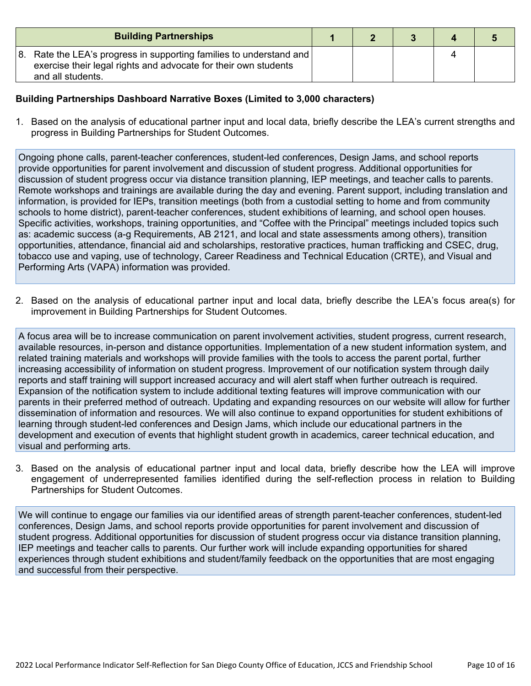| <b>Building Partnerships</b>                                                                                                                                        |  |  |  |
|---------------------------------------------------------------------------------------------------------------------------------------------------------------------|--|--|--|
| 8. Rate the LEA's progress in supporting families to understand and $\vert$<br>exercise their legal rights and advocate for their own students<br>and all students. |  |  |  |

### **Building Partnerships Dashboard Narrative Boxes (Limited to 3,000 characters)**

1. Based on the analysis of educational partner input and local data, briefly describe the LEA's current strengths and progress in Building Partnerships for Student Outcomes.

Ongoing phone calls, parent-teacher conferences, student-led conferences, Design Jams, and school reports provide opportunities for parent involvement and discussion of student progress. Additional opportunities for discussion of student progress occur via distance transition planning, IEP meetings, and teacher calls to parents. Remote workshops and trainings are available during the day and evening. Parent support, including translation and information, is provided for IEPs, transition meetings (both from a custodial setting to home and from community schools to home district), parent-teacher conferences, student exhibitions of learning, and school open houses. Specific activities, workshops, training opportunities, and "Coffee with the Principal" meetings included topics such as: academic success (a-g Requirements, AB 2121, and local and state assessments among others), transition opportunities, attendance, financial aid and scholarships, restorative practices, human trafficking and CSEC, drug, tobacco use and vaping, use of technology, Career Readiness and Technical Education (CRTE), and Visual and Performing Arts (VAPA) information was provided.

2. Based on the analysis of educational partner input and local data, briefly describe the LEA's focus area(s) for improvement in Building Partnerships for Student Outcomes.

A focus area will be to increase communication on parent involvement activities, student progress, current research, available resources, in-person and distance opportunities. Implementation of a new student information system, and related training materials and workshops will provide families with the tools to access the parent portal, further increasing accessibility of information on student progress. Improvement of our notification system through daily reports and staff training will support increased accuracy and will alert staff when further outreach is required. Expansion of the notification system to include additional texting features will improve communication with our parents in their preferred method of outreach. Updating and expanding resources on our website will allow for further dissemination of information and resources. We will also continue to expand opportunities for student exhibitions of learning through student-led conferences and Design Jams, which include our educational partners in the development and execution of events that highlight student growth in academics, career technical education, and visual and performing arts.

3. Based on the analysis of educational partner input and local data, briefly describe how the LEA will improve engagement of underrepresented families identified during the self-reflection process in relation to Building Partnerships for Student Outcomes.

We will continue to engage our families via our identified areas of strength parent-teacher conferences, student-led conferences, Design Jams, and school reports provide opportunities for parent involvement and discussion of student progress. Additional opportunities for discussion of student progress occur via distance transition planning, IEP meetings and teacher calls to parents. Our further work will include expanding opportunities for shared experiences through student exhibitions and student/family feedback on the opportunities that are most engaging and successful from their perspective.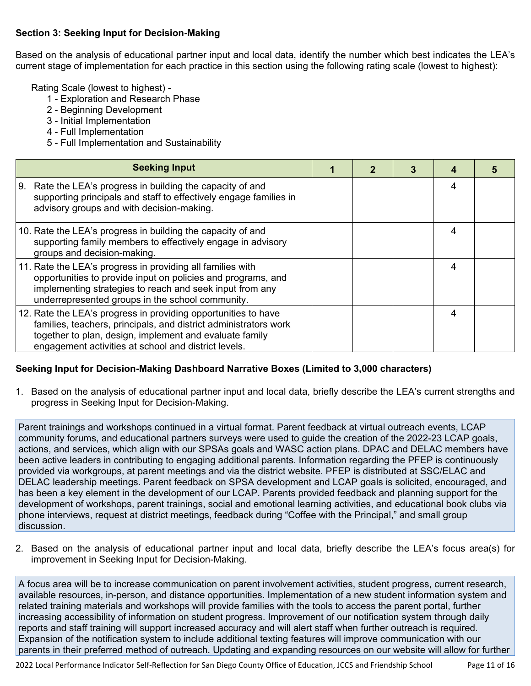### **Section 3: Seeking Input for Decision-Making**

Based on the analysis of educational partner input and local data, identify the number which best indicates the LEA's current stage of implementation for each practice in this section using the following rating scale (lowest to highest):

Rating Scale (lowest to highest) -

- 1 Exploration and Research Phase
- 2 Beginning Development
- 3 Initial Implementation
- 4 Full Implementation
- 5 Full Implementation and Sustainability

| <b>Seeking Input</b>                                                                                                                                                                                                                                  |  |   |  |
|-------------------------------------------------------------------------------------------------------------------------------------------------------------------------------------------------------------------------------------------------------|--|---|--|
| Rate the LEA's progress in building the capacity of and<br>9.<br>supporting principals and staff to effectively engage families in<br>advisory groups and with decision-making.                                                                       |  | 4 |  |
| 10. Rate the LEA's progress in building the capacity of and<br>supporting family members to effectively engage in advisory<br>groups and decision-making.                                                                                             |  | 4 |  |
| 11. Rate the LEA's progress in providing all families with<br>opportunities to provide input on policies and programs, and<br>implementing strategies to reach and seek input from any<br>underrepresented groups in the school community.            |  | 4 |  |
| 12. Rate the LEA's progress in providing opportunities to have<br>families, teachers, principals, and district administrators work<br>together to plan, design, implement and evaluate family<br>engagement activities at school and district levels. |  | 4 |  |

### **Seeking Input for Decision-Making Dashboard Narrative Boxes (Limited to 3,000 characters)**

1. Based on the analysis of educational partner input and local data, briefly describe the LEA's current strengths and progress in Seeking Input for Decision-Making.

Parent trainings and workshops continued in a virtual format. Parent feedback at virtual outreach events, LCAP community forums, and educational partners surveys were used to guide the creation of the 2022-23 LCAP goals, actions, and services, which align with our SPSAs goals and WASC action plans. DPAC and DELAC members have been active leaders in contributing to engaging additional parents. Information regarding the PFEP is continuously provided via workgroups, at parent meetings and via the district website. PFEP is distributed at SSC/ELAC and DELAC leadership meetings. Parent feedback on SPSA development and LCAP goals is solicited, encouraged, and has been a key element in the development of our LCAP. Parents provided feedback and planning support for the development of workshops, parent trainings, social and emotional learning activities, and educational book clubs via phone interviews, request at district meetings, feedback during "Coffee with the Principal," and small group discussion.

2. Based on the analysis of educational partner input and local data, briefly describe the LEA's focus area(s) for improvement in Seeking Input for Decision-Making.

A focus area will be to increase communication on parent involvement activities, student progress, current research, available resources, in-person, and distance opportunities. Implementation of a new student information system and related training materials and workshops will provide families with the tools to access the parent portal, further increasing accessibility of information on student progress. Improvement of our notification system through daily reports and staff training will support increased accuracy and will alert staff when further outreach is required. Expansion of the notification system to include additional texting features will improve communication with our parents in their preferred method of outreach. Updating and expanding resources on our website will allow for further

2022 Local Performance Indicator Self-Reflection for San Diego County Office of Education, JCCS and Friendship School Page 11 of 16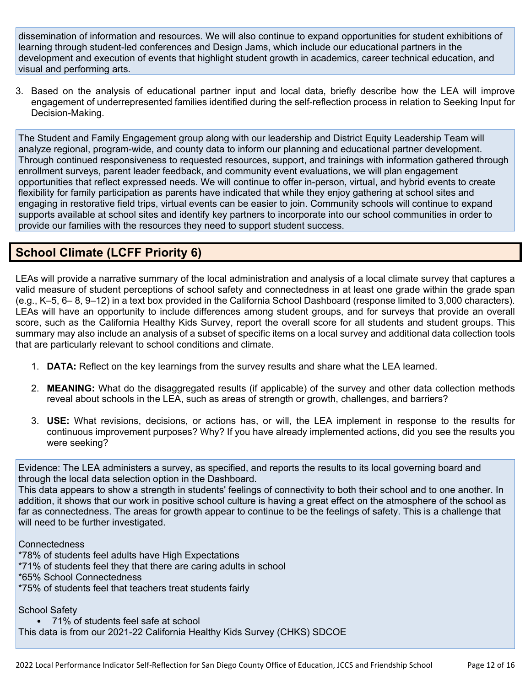dissemination of information and resources. We will also continue to expand opportunities for student exhibitions of learning through student-led conferences and Design Jams, which include our educational partners in the development and execution of events that highlight student growth in academics, career technical education, and visual and performing arts.

3. Based on the analysis of educational partner input and local data, briefly describe how the LEA will improve engagement of underrepresented families identified during the self-reflection process in relation to Seeking Input for Decision-Making.

The Student and Family Engagement group along with our leadership and District Equity Leadership Team will analyze regional, program-wide, and county data to inform our planning and educational partner development. Through continued responsiveness to requested resources, support, and trainings with information gathered through enrollment surveys, parent leader feedback, and community event evaluations, we will plan engagement opportunities that reflect expressed needs. We will continue to offer in-person, virtual, and hybrid events to create flexibility for family participation as parents have indicated that while they enjoy gathering at school sites and engaging in restorative field trips, virtual events can be easier to join. Community schools will continue to expand supports available at school sites and identify key partners to incorporate into our school communities in order to provide our families with the resources they need to support student success.

# **School Climate (LCFF Priority 6)**

LEAs will provide a narrative summary of the local administration and analysis of a local climate survey that captures a valid measure of student perceptions of school safety and connectedness in at least one grade within the grade span (e.g., K–5, 6– 8, 9–12) in a text box provided in the California School Dashboard (response limited to 3,000 characters). LEAs will have an opportunity to include differences among student groups, and for surveys that provide an overall score, such as the California Healthy Kids Survey, report the overall score for all students and student groups. This summary may also include an analysis of a subset of specific items on a local survey and additional data collection tools that are particularly relevant to school conditions and climate.

- 1. **DATA:** Reflect on the key learnings from the survey results and share what the LEA learned.
- 2. **MEANING:** What do the disaggregated results (if applicable) of the survey and other data collection methods reveal about schools in the LEA, such as areas of strength or growth, challenges, and barriers?
- 3. **USE:** What revisions, decisions, or actions has, or will, the LEA implement in response to the results for continuous improvement purposes? Why? If you have already implemented actions, did you see the results you were seeking?

Evidence: The LEA administers a survey, as specified, and reports the results to its local governing board and through the local data selection option in the Dashboard.

This data appears to show a strength in students' feelings of connectivity to both their school and to one another. In addition, it shows that our work in positive school culture is having a great effect on the atmosphere of the school as far as connectedness. The areas for growth appear to continue to be the feelings of safety. This is a challenge that will need to be further investigated.

**Connectedness** 

\*78% of students feel adults have High Expectations

- \*71% of students feel they that there are caring adults in school
- \*65% School Connectedness
- \*75% of students feel that teachers treat students fairly

School Safety

- 71% of students feel safe at school
- This data is from our 2021-22 California Healthy Kids Survey (CHKS) SDCOE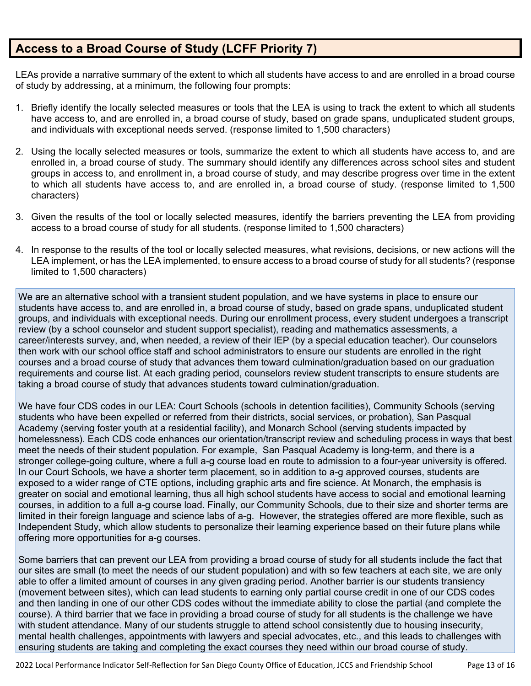# **Access to a Broad Course of Study (LCFF Priority 7)**

LEAs provide a narrative summary of the extent to which all students have access to and are enrolled in a broad course of study by addressing, at a minimum, the following four prompts:

- 1. Briefly identify the locally selected measures or tools that the LEA is using to track the extent to which all students have access to, and are enrolled in, a broad course of study, based on grade spans, unduplicated student groups, and individuals with exceptional needs served. (response limited to 1,500 characters)
- 2. Using the locally selected measures or tools, summarize the extent to which all students have access to, and are enrolled in, a broad course of study. The summary should identify any differences across school sites and student groups in access to, and enrollment in, a broad course of study, and may describe progress over time in the extent to which all students have access to, and are enrolled in, a broad course of study. (response limited to 1,500 characters)
- 3. Given the results of the tool or locally selected measures, identify the barriers preventing the LEA from providing access to a broad course of study for all students. (response limited to 1,500 characters)
- 4. In response to the results of the tool or locally selected measures, what revisions, decisions, or new actions will the LEA implement, or has the LEA implemented, to ensure access to a broad course of study for all students? (response limited to 1,500 characters)

We are an alternative school with a transient student population, and we have systems in place to ensure our students have access to, and are enrolled in, a broad course of study, based on grade spans, unduplicated student groups, and individuals with exceptional needs. During our enrollment process, every student undergoes a transcript review (by a school counselor and student support specialist), reading and mathematics assessments, a career/interests survey, and, when needed, a review of their IEP (by a special education teacher). Our counselors then work with our school office staff and school administrators to ensure our students are enrolled in the right courses and a broad course of study that advances them toward culmination/graduation based on our graduation requirements and course list. At each grading period, counselors review student transcripts to ensure students are taking a broad course of study that advances students toward culmination/graduation.

We have four CDS codes in our LEA: Court Schools (schools in detention facilities), Community Schools (serving students who have been expelled or referred from their districts, social services, or probation), San Pasqual Academy (serving foster youth at a residential facility), and Monarch School (serving students impacted by homelessness). Each CDS code enhances our orientation/transcript review and scheduling process in ways that best meet the needs of their student population. For example, San Pasqual Academy is long-term, and there is a stronger college-going culture, where a full a-g course load en route to admission to a four-year university is offered. In our Court Schools, we have a shorter term placement, so in addition to a-g approved courses, students are exposed to a wider range of CTE options, including graphic arts and fire science. At Monarch, the emphasis is greater on social and emotional learning, thus all high school students have access to social and emotional learning courses, in addition to a full a-g course load. Finally, our Community Schools, due to their size and shorter terms are limited in their foreign language and science labs of a-g. However, the strategies offered are more flexible, such as Independent Study, which allow students to personalize their learning experience based on their future plans while offering more opportunities for a-g courses.

Some barriers that can prevent our LEA from providing a broad course of study for all students include the fact that our sites are small (to meet the needs of our student population) and with so few teachers at each site, we are only able to offer a limited amount of courses in any given grading period. Another barrier is our students transiency (movement between sites), which can lead students to earning only partial course credit in one of our CDS codes and then landing in one of our other CDS codes without the immediate ability to close the partial (and complete the course). A third barrier that we face in providing a broad course of study for all students is the challenge we have with student attendance. Many of our students struggle to attend school consistently due to housing insecurity, mental health challenges, appointments with lawyers and special advocates, etc., and this leads to challenges with ensuring students are taking and completing the exact courses they need within our broad course of study.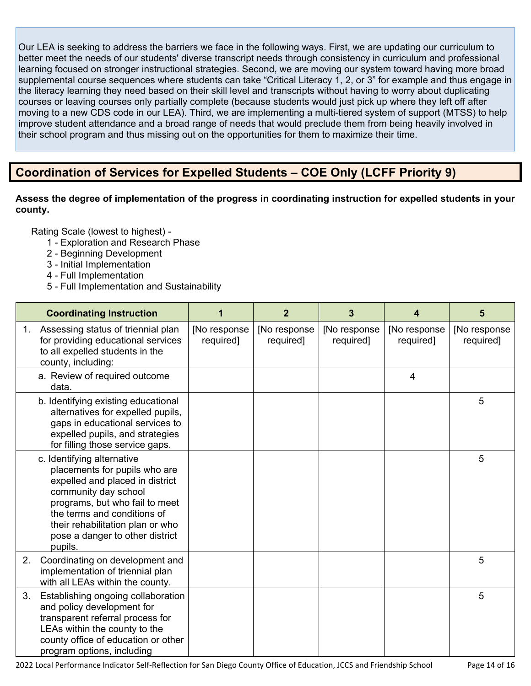Our LEA is seeking to address the barriers we face in the following ways. First, we are updating our curriculum to better meet the needs of our students' diverse transcript needs through consistency in curriculum and professional learning focused on stronger instructional strategies. Second, we are moving our system toward having more broad supplemental course sequences where students can take "Critical Literacy 1, 2, or 3" for example and thus engage in the literacy learning they need based on their skill level and transcripts without having to worry about duplicating courses or leaving courses only partially complete (because students would just pick up where they left off after moving to a new CDS code in our LEA). Third, we are implementing a multi-tiered system of support (MTSS) to help improve student attendance and a broad range of needs that would preclude them from being heavily involved in their school program and thus missing out on the opportunities for them to maximize their time.

# **Coordination of Services for Expelled Students – COE Only (LCFF Priority 9)**

### **Assess the degree of implementation of the progress in coordinating instruction for expelled students in your county.**

- 1 Exploration and Research Phase
- 2 Beginning Development
- 3 Initial Implementation
- 4 Full Implementation
- 5 Full Implementation and Sustainability

|    | <b>Coordinating Instruction</b>                                                                                                                                                                                                                                           |                           | $\overline{2}$            | 3                         | 4                         | 5                         |
|----|---------------------------------------------------------------------------------------------------------------------------------------------------------------------------------------------------------------------------------------------------------------------------|---------------------------|---------------------------|---------------------------|---------------------------|---------------------------|
| 1. | Assessing status of triennial plan<br>for providing educational services<br>to all expelled students in the<br>county, including:                                                                                                                                         | [No response<br>required] | [No response<br>required] | [No response<br>required] | [No response<br>required] | [No response<br>required] |
|    | a. Review of required outcome<br>data.                                                                                                                                                                                                                                    |                           |                           |                           | $\overline{4}$            |                           |
|    | b. Identifying existing educational<br>alternatives for expelled pupils,<br>gaps in educational services to<br>expelled pupils, and strategies<br>for filling those service gaps.                                                                                         |                           |                           |                           |                           | 5                         |
|    | c. Identifying alternative<br>placements for pupils who are<br>expelled and placed in district<br>community day school<br>programs, but who fail to meet<br>the terms and conditions of<br>their rehabilitation plan or who<br>pose a danger to other district<br>pupils. |                           |                           |                           |                           | 5                         |
| 2. | Coordinating on development and<br>implementation of triennial plan<br>with all LEAs within the county.                                                                                                                                                                   |                           |                           |                           |                           | 5                         |
| 3. | Establishing ongoing collaboration<br>and policy development for<br>transparent referral process for<br>LEAs within the county to the<br>county office of education or other<br>program options, including                                                                |                           |                           |                           |                           | 5                         |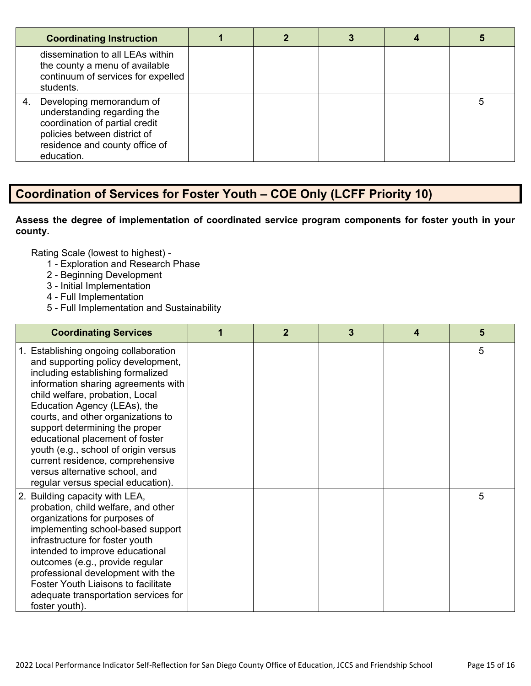| <b>Coordinating Instruction</b>                                                                                                                                                 |  |  |  |
|---------------------------------------------------------------------------------------------------------------------------------------------------------------------------------|--|--|--|
| dissemination to all LEAs within<br>the county a menu of available<br>continuum of services for expelled<br>students.                                                           |  |  |  |
| Developing memorandum of<br>4.<br>understanding regarding the<br>coordination of partial credit<br>policies between district of<br>residence and county office of<br>education. |  |  |  |

# **Coordination of Services for Foster Youth – COE Only (LCFF Priority 10)**

### **Assess the degree of implementation of coordinated service program components for foster youth in your county.**

- 1 Exploration and Research Phase
- 2 Beginning Development
- 3 Initial Implementation
- 4 Full Implementation
- 5 Full Implementation and Sustainability

| <b>Coordinating Services</b>                                                                                                                                                                                                                                                                                                                                                                                                                                                              | 1 | $\mathbf{2}$ | 3 | 4 | 5 |
|-------------------------------------------------------------------------------------------------------------------------------------------------------------------------------------------------------------------------------------------------------------------------------------------------------------------------------------------------------------------------------------------------------------------------------------------------------------------------------------------|---|--------------|---|---|---|
| 1. Establishing ongoing collaboration<br>and supporting policy development,<br>including establishing formalized<br>information sharing agreements with<br>child welfare, probation, Local<br>Education Agency (LEAs), the<br>courts, and other organizations to<br>support determining the proper<br>educational placement of foster<br>youth (e.g., school of origin versus<br>current residence, comprehensive<br>versus alternative school, and<br>regular versus special education). |   |              |   |   | 5 |
| 2. Building capacity with LEA,<br>probation, child welfare, and other<br>organizations for purposes of<br>implementing school-based support<br>infrastructure for foster youth<br>intended to improve educational<br>outcomes (e.g., provide regular<br>professional development with the<br><b>Foster Youth Liaisons to facilitate</b><br>adequate transportation services for<br>foster youth).                                                                                         |   |              |   |   | 5 |